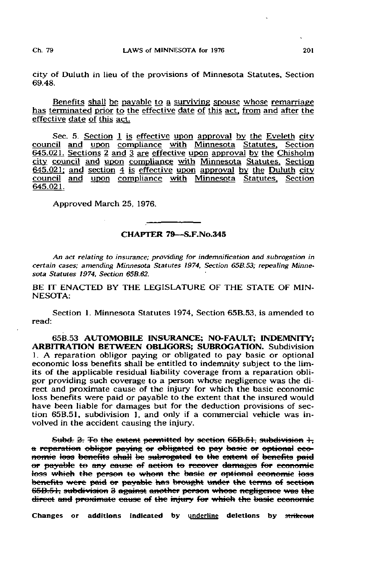city of Duluth in lieu of the provisions of Minnesota Statutes, Section 69.48.

Benefits shall be payable to a surviving spouse whose remarriage has terminated prior to the effective date of this act, from and after the effective date of this act.

Sec. 5. Section 1 is effective upon approval by the Eveleth city council and upon compliance with Minnesota Statutes. Section 645.021. Sections 2 and 3 are effective upon approval by the Chisholm city council and upon compliance with Minnesota Statutes. Section  $645.021$ ; and section  $\overline{4}$  is effective upon approval by the Duluth city council and upon compliance with Minnesota Statutes. Section 645.021.

Approved March 25, 1976.

## CHAPTER 79—S.F.No.345

An act relating to insurance; providing for indemnification and subrogation in certain cases; amending Minnesota Statutes 1974, Section 65B.53; repealing Minnesota Statutes 1974. Section 65B.62.

BE IT ENACTED BY THE LEGISLATURE OF THE STATE OF MIN-NESOTA:

Section 1. Minnesota Statutes 1974, Section 65B.53, is amended to read:

65B.53 AUTOMOBILE INSURANCE; NO-FAULT; INDEMNITY; ARBITRATION BETWEEN OBLIGORS; SUBROGATION. Subdivision 1. A reparation obligor paying or obligated to pay basic or optional economic loss benefits shall be entitled to indemnity subject to the limits of the applicable residual liability coverage from a reparation obligor providing such coverage to a person whose negligence was the direct and proximate cause of the injury for which the basic economic loss benefits were paid or payable to the extent that the insured would have been liable for damages but for the deduction provisions of section 65B.51, subdivision 1, and only if a commercial vehicle was involved in the accident causing the injury.

Subd. 2. To the extent permitted by section 65B.51, subdivision 1, a reparation obligor paying er obligated te pay baste er optional eeenornic loss benefits shall be subrogated to the extent of benefits paid or payable to any cause of action to recover damages for economic<br>loss which the person to whom the basic or optional economic loss benefits were paid or payable has brought under the terms of section 65B.51, subdivision 3 against another person whose negligence was the direct and proximate cause of the injury for which the basic economic

Changes or additions indicated by underline deletions by strikeout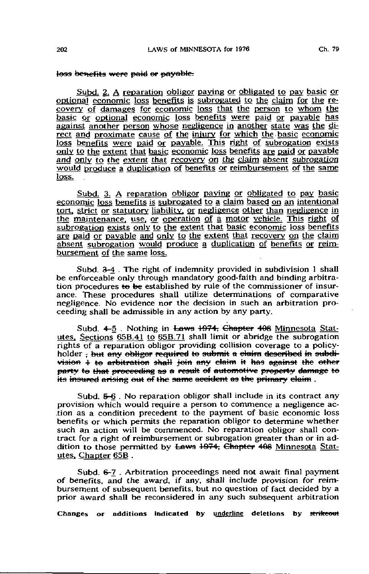## loss benefits were paid or payable.

Subd. 2. A reparation obligor paying or obligated to pay basic or optional economic loss benefits is subrogated to the claim for the recovery of damages for economic loss that the person to whom the basic or optional economic loss benefits were paid or payable has against another person whose negligence in another state was the direct and proximate cause of the injury for which the basic economic loss benefits were paid or payable. This right of subrogation exists only to the extent that basic economic loss benefits are paid or payable and only to the extent that recovery on the claim absent subrogation would produce a duplication of benefits or reimbursement of the same loss.

Subd. 3. A reparation obligor paying or obligated to pay basic economic loss benefits is subrogated to a claim based on an intentional tort, strict or statutory liability, or negligence other than negligence in the maintenance, use, or operation of a motor vehicle. This right of subrogation exists only to the extent that basic economic loss benefits are paid or payable and only to the extent that recovery on the claim absent subrogation would produce a duplication of benefits or reimbursement of the same loss.

Subd. 3-4. The right of indemnity provided in subdivision 1 shall be enforceable only through mandatory good-faith and binding arbitration procedures to be established by rule of the commissioner of insurance. These procedures shall utilize determinations of comparative negligence. No evidence nor the decision in such an arbitration proceeding shall be admissible in any action by any party.

Subd. 4-5. Nothing in Laws 1974, Chapter 408 Minnesota Statutes, Sections 65B.41 to 65B.71 shall limit or abridge the subrogation rights of a reparation obligor providing collision coverage to a policyholder: but any obliger required to submit a claim described in subdivision 1 to arbitration shall join any claim it has against the other party to that proceeding as a result of automotive property damage to its insured arising out of the same accident as the primary claim.

Subd.  $5-6$ . No reparation obligor shall include in its contract any provision which would require a person to commence a negligence action as a condition precedent to the payment of basic economic loss benefits or which permits the reparation obligor to determine whether such an action will be commenced. No reparation obligor shall contract for a right of reimbursement or subrogation greater than or in addition to those permitted by Laws 1974; Chapter 408 Minnesota Statutes, Chapter 65B.

Subd. 6-7. Arbitration proceedings need not await final payment of benefits, and the award, if any, shall include provision for reimbursement of subsequent benefits, but no question of fact decided by a prior award shall be reconsidered in any such subsequent arbitration

Changes or additions indicated by underline deletions by strikeout